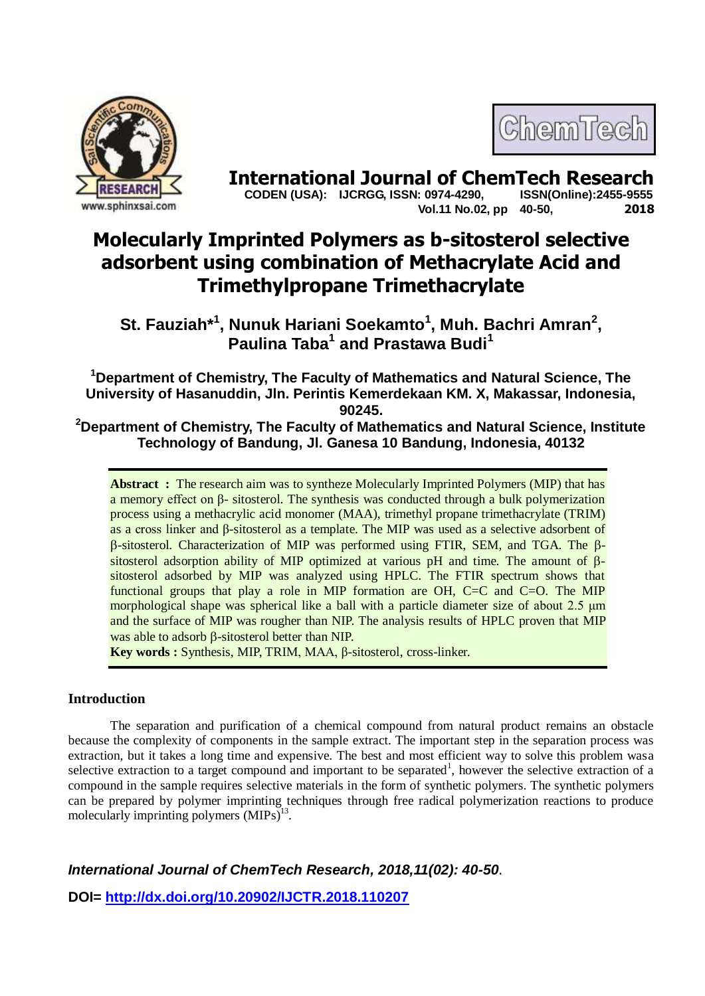

ChemTech

**International Journal of ChemTech Research CODEN (USA): IJCRGG, ISSN: 0974-4290.** ISSN(Online):2455-9555  **CODEN (USA): IJCRGG, ISSN: 0974-4290, Vol.11 No.02, pp 40-50, 2018**

# **Molecularly Imprinted Polymers as b-sitosterol selective adsorbent using combination of Methacrylate Acid and Trimethylpropane Trimethacrylate**

**St. Fauziah\*<sup>1</sup> , Nunuk Hariani Soekamto<sup>1</sup> , Muh. Bachri Amran<sup>2</sup> , Paulina Taba<sup>1</sup> and Prastawa Budi<sup>1</sup>**

**<sup>1</sup>Department of Chemistry, The Faculty of Mathematics and Natural Science, The University of Hasanuddin, Jln. Perintis Kemerdekaan KM. X, Makassar, Indonesia, 90245.**

**<sup>2</sup>Department of Chemistry, The Faculty of Mathematics and Natural Science, Institute Technology of Bandung, Jl. Ganesa 10 Bandung, Indonesia, 40132**

**Abstract :** The research aim was to syntheze Molecularly Imprinted Polymers (MIP) that has a memory effect on β- sitosterol. The synthesis was conducted through a bulk polymerization process using a methacrylic acid monomer (MAA), trimethyl propane trimethacrylate (TRIM) as a cross linker and β-sitosterol as a template. The MIP was used as a selective adsorbent of  $\beta$ -sitosterol. Characterization of MIP was performed using FTIR, SEM, and TGA. The  $\beta$ sitosterol adsorption ability of MIP optimized at various pH and time. The amount of  $\beta$ sitosterol adsorbed by MIP was analyzed using HPLC. The FTIR spectrum shows that functional groups that play a role in MIP formation are OH,  $C=C$  and  $C=O$ . The MIP morphological shape was spherical like a ball with a particle diameter size of about 2.5 μm and the surface of MIP was rougher than NIP. The analysis results of HPLC proven that MIP was able to adsorb  $\beta$ -sitosterol better than NIP.

**Key words :** Synthesis, MIP, TRIM, MAA, β-sitosterol, cross-linker.

# **Introduction**

The separation and purification of a chemical compound from natural product remains an obstacle because the complexity of components in the sample extract. The important step in the separation process was extraction, but it takes a long time and expensive. The best and most efficient way to solve this problem wasa selective extraction to a target compound and important to be separated<sup>1</sup>, however the selective extraction of a compound in the sample requires selective materials in the form of synthetic polymers. The synthetic polymers can be prepared by polymer imprinting techniques through free radical polymerization reactions to produce molecularly imprinting polymers (MIPs)<sup>13</sup>.

*International Journal of ChemTech Research, 2018,11(02): 40-50*.

**DOI=<http://dx.doi.org/10.20902/IJCTR.2018.110207>**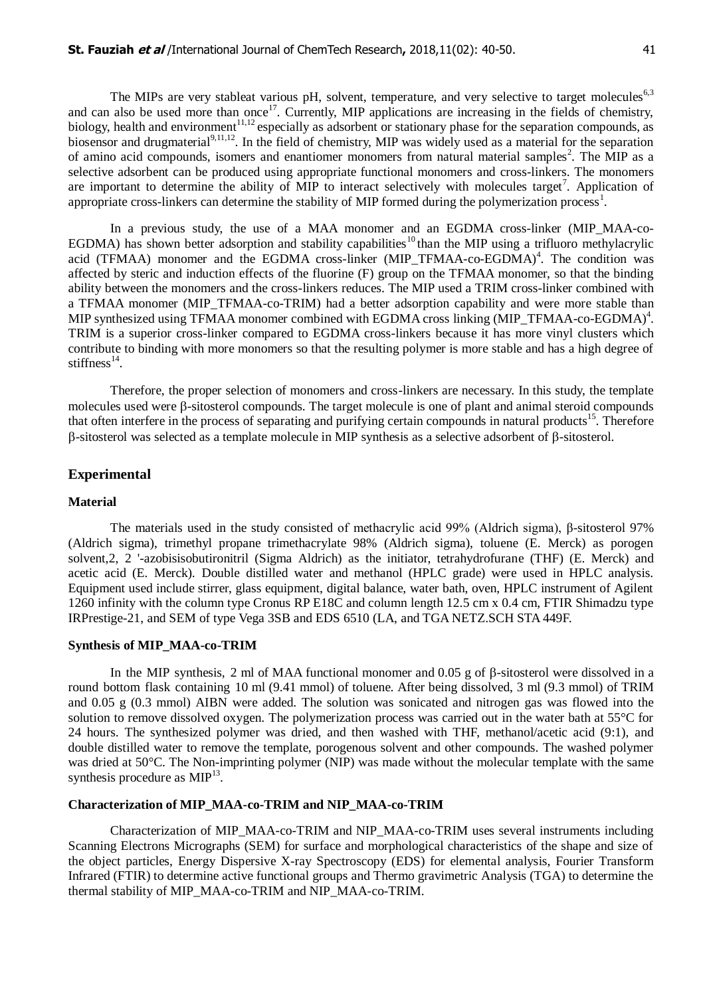The MIPs are very stableat various pH, solvent, temperature, and very selective to target molecules<sup>6,3</sup> and can also be used more than once<sup>17</sup>. Currently, MIP applications are increasing in the fields of chemistry, biology, health and environment<sup>11,12</sup> especially as adsorbent or stationary phase for the separation compounds, as biosensor and drugmaterial<sup>9,11,12</sup>. In the field of chemistry, MIP was widely used as a material for the separation of amino acid compounds, isomers and enantiomer monomers from natural material samples<sup>2</sup>. The MIP as a selective adsorbent can be produced using appropriate functional monomers and cross-linkers. The monomers are important to determine the ability of MIP to interact selectively with molecules target<sup>7</sup>. Application of appropriate cross-linkers can determine the stability of MIP formed during the polymerization process<sup>1</sup>.

In a previous study, the use of a MAA monomer and an EGDMA cross-linker (MIP\_MAA-co-EGDMA) has shown better adsorption and stability capabilities<sup>10</sup>than the MIP using a trifluoro methylacrylic acid (TFMAA) monomer and the EGDMA cross-linker (MIP\_TFMAA-co-EGDMA)<sup>4</sup>. The condition was affected by steric and induction effects of the fluorine (F) group on the TFMAA monomer, so that the binding ability between the monomers and the cross-linkers reduces. The MIP used a TRIM cross-linker combined with a TFMAA monomer (MIP\_TFMAA-co-TRIM) had a better adsorption capability and were more stable than MIP synthesized using TFMAA monomer combined with EGDMA cross linking (MIP\_TFMAA-co-EGDMA)<sup>4</sup>. TRIM is a superior cross-linker compared to EGDMA cross-linkers because it has more vinyl clusters which contribute to binding with more monomers so that the resulting polymer is more stable and has a high degree of stiffness $^{14}$ .

Therefore, the proper selection of monomers and cross-linkers are necessary. In this study, the template molecules used were  $\beta$ -sitosterol compounds. The target molecule is one of plant and animal steroid compounds that often interfere in the process of separating and purifying certain compounds in natural products<sup>15</sup>. Therefore  $\beta$ -sitosterol was selected as a template molecule in MIP synthesis as a selective adsorbent of  $\beta$ -sitosterol.

# **Experimental**

# **Material**

The materials used in the study consisted of methacrylic acid 99% (Aldrich sigma), β-sitosterol 97% (Aldrich sigma), trimethyl propane trimethacrylate 98% (Aldrich sigma), toluene (E. Merck) as porogen solvent,2, 2 '-azobisisobutironitril (Sigma Aldrich) as the initiator, tetrahydrofurane (THF) (E. Merck) and acetic acid (E. Merck). Double distilled water and methanol (HPLC grade) were used in HPLC analysis. Equipment used include stirrer, glass equipment, digital balance, water bath, oven, HPLC instrument of Agilent 1260 infinity with the column type Cronus RP E18C and column length 12.5 cm x 0.4 cm, FTIR Shimadzu type IRPrestige-21, and SEM of type Vega 3SB and EDS 6510 (LA, and TGA NETZ.SCH STA 449F.

# **Synthesis of MIP\_MAA-co-TRIM**

In the MIP synthesis, 2 ml of MAA functional monomer and 0.05 g of  $\beta$ -sitosterol were dissolved in a round bottom flask containing 10 ml (9.41 mmol) of toluene. After being dissolved, 3 ml (9.3 mmol) of TRIM and 0.05 g (0.3 mmol) AIBN were added. The solution was sonicated and nitrogen gas was flowed into the solution to remove dissolved oxygen. The polymerization process was carried out in the water bath at 55°C for 24 hours. The synthesized polymer was dried, and then washed with THF, methanol/acetic acid (9:1), and double distilled water to remove the template, porogenous solvent and other compounds. The washed polymer was dried at 50°C. The Non-imprinting polymer (NIP) was made without the molecular template with the same synthesis procedure as  $MIP<sup>13</sup>$ .

## **Characterization of MIP\_MAA-co-TRIM and NIP\_MAA-co-TRIM**

Characterization of MIP\_MAA-co-TRIM and NIP\_MAA-co-TRIM uses several instruments including Scanning Electrons Micrographs (SEM) for surface and morphological characteristics of the shape and size of the object particles, Energy Dispersive X-ray Spectroscopy (EDS) for elemental analysis, Fourier Transform Infrared (FTIR) to determine active functional groups and Thermo gravimetric Analysis (TGA) to determine the thermal stability of MIP\_MAA-co-TRIM and NIP\_MAA-co-TRIM.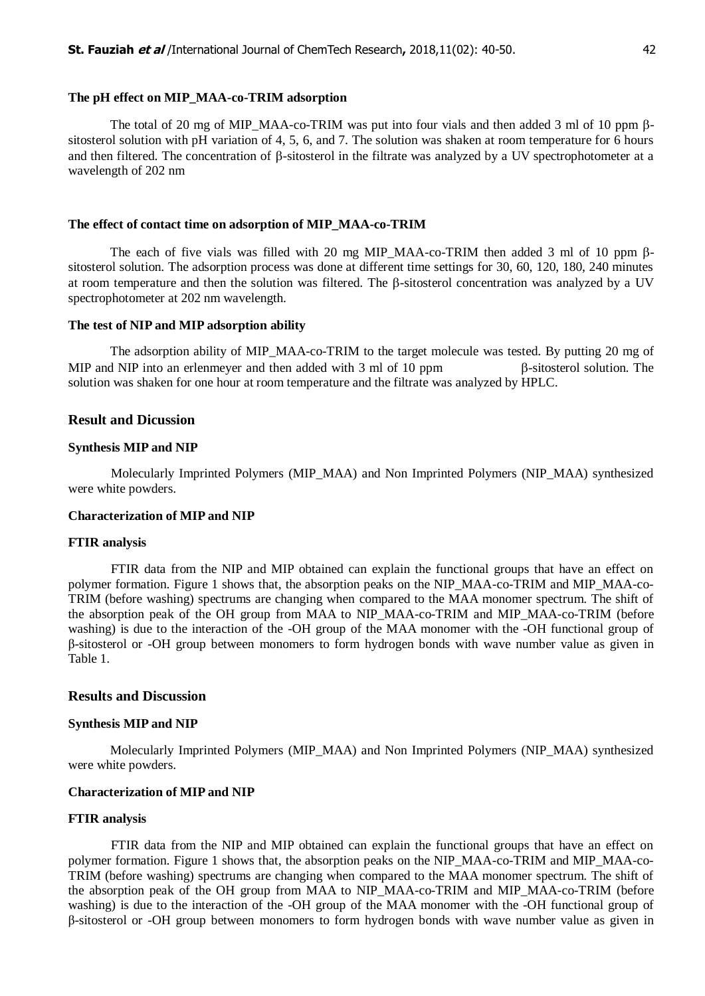## **The pH effect on MIP\_MAA-co-TRIM adsorption**

The total of 20 mg of MIP\_MAA-co-TRIM was put into four vials and then added 3 ml of 10 ppm  $\beta$ sitosterol solution with pH variation of 4, 5, 6, and 7. The solution was shaken at room temperature for 6 hours and then filtered. The concentration of  $\beta$ -sitosterol in the filtrate was analyzed by a UV spectrophotometer at a wavelength of 202 nm

#### **The effect of contact time on adsorption of MIP\_MAA-co-TRIM**

The each of five vials was filled with 20 mg MIP MAA-co-TRIM then added 3 ml of 10 ppm  $\beta$ sitosterol solution. The adsorption process was done at different time settings for 30, 60, 120, 180, 240 minutes at room temperature and then the solution was filtered. The  $\beta$ -sitosterol concentration was analyzed by a UV spectrophotometer at 202 nm wavelength.

#### **The test of NIP and MIP adsorption ability**

The adsorption ability of MIP\_MAA-co-TRIM to the target molecule was tested. By putting 20 mg of MIP and NIP into an erlenmeyer and then added with  $3 \text{ ml of } 10 \text{ ppm}$   $\beta$ -sitosterol solution. The solution was shaken for one hour at room temperature and the filtrate was analyzed by HPLC.

## **Result and Dicussion**

#### **Synthesis MIP and NIP**

Molecularly Imprinted Polymers (MIP\_MAA) and Non Imprinted Polymers (NIP\_MAA) synthesized were white powders.

## **Characterization of MIP and NIP**

#### **FTIR analysis**

FTIR data from the NIP and MIP obtained can explain the functional groups that have an effect on polymer formation. Figure 1 shows that, the absorption peaks on the NIP\_MAA-co-TRIM and MIP\_MAA-co-TRIM (before washing) spectrums are changing when compared to the MAA monomer spectrum. The shift of the absorption peak of the OH group from MAA to NIP\_MAA-co-TRIM and MIP\_MAA-co-TRIM (before washing) is due to the interaction of the -OH group of the MAA monomer with the -OH functional group of β-sitosterol or -OH group between monomers to form hydrogen bonds with wave number value as given in Table 1.

#### **Results and Discussion**

#### **Synthesis MIP and NIP**

Molecularly Imprinted Polymers (MIP\_MAA) and Non Imprinted Polymers (NIP\_MAA) synthesized were white powders.

#### **Characterization of MIP and NIP**

#### **FTIR analysis**

FTIR data from the NIP and MIP obtained can explain the functional groups that have an effect on polymer formation. Figure 1 shows that, the absorption peaks on the NIP\_MAA-co-TRIM and MIP\_MAA-co-TRIM (before washing) spectrums are changing when compared to the MAA monomer spectrum. The shift of the absorption peak of the OH group from MAA to NIP\_MAA-co-TRIM and MIP\_MAA-co-TRIM (before washing) is due to the interaction of the -OH group of the MAA monomer with the -OH functional group of β-sitosterol or -OH group between monomers to form hydrogen bonds with wave number value as given in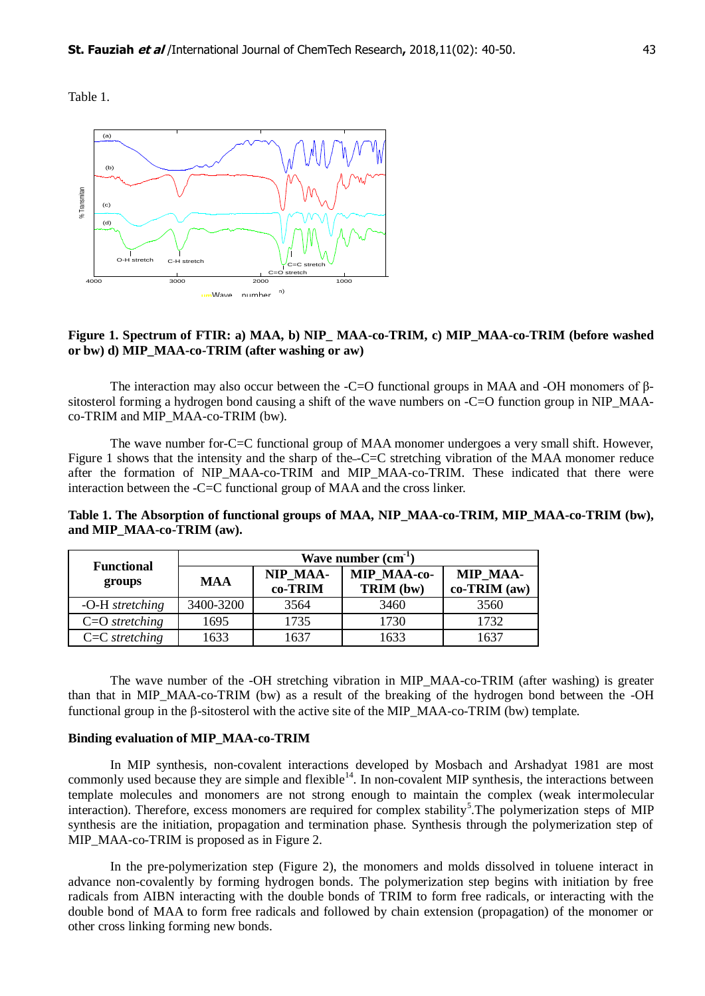Table 1.



## Figure 1. Spectrum of FTIR: a) MAA, b) NIP\_MAA-co-TRIM, c) MIP\_MAA-co-TRIM (before washed **or bw) d) MIP\_MAA-co-TRIM (after washing or aw)**

The interaction may also occur between the -C=O functional groups in MAA and -OH monomers of βsitosterol forming a hydrogen bond causing a shift of the wave numbers on -C=O function group in NIP\_MAAco-TRIM and MIP\_MAA-co-TRIM (bw).

The wave number for-C=C functional group of MAA monomer undergoes a very small shift. However, Figure 1 shows that the intensity and the sharp of the --C=C stretching vibration of the MAA monomer reduce after the formation of NIP MAA-co-TRIM and MIP\_MAA-co-TRIM. These indicated that there were interaction between the -C=C functional group of MAA and the cross linker.

**Table 1. The Absorption of functional groups of MAA, NIP\_MAA-co-TRIM, MIP\_MAA-co-TRIM (bw), and MIP\_MAA-co-TRIM (aw).**

|                             | Wave number (cm <sup>-1</sup> |                     |                          |                                 |  |
|-----------------------------|-------------------------------|---------------------|--------------------------|---------------------------------|--|
| <b>Functional</b><br>groups | <b>MAA</b>                    | NIP MAA-<br>co-TRIM | MIP MAA-co-<br>TRIM (bw) | <b>MIP MAA-</b><br>co-TRIM (aw) |  |
| -O-H stretching             | 3400-3200                     | 3564                | 3460                     | 3560                            |  |
| $C=O$ stretching            | 1695                          | 1735                | 1730                     | 1732                            |  |
| $C=C$ stretching            | 1633                          | 1637                | 1633                     | 1637                            |  |

The wave number of the -OH stretching vibration in MIP\_MAA-co-TRIM (after washing) is greater than that in MIP\_MAA-co-TRIM (bw) as a result of the breaking of the hydrogen bond between the -OH functional group in the  $\beta$ -sitosterol with the active site of the MIP\_MAA-co-TRIM (bw) template.

### **Binding evaluation of MIP\_MAA-co-TRIM**

In MIP synthesis, non-covalent interactions developed by Mosbach and Arshadyat 1981 are most commonly used because they are simple and flexible<sup>14</sup>. In non-covalent MIP synthesis, the interactions between template molecules and monomers are not strong enough to maintain the complex (weak intermolecular interaction). Therefore, excess monomers are required for complex stability<sup>5</sup>. The polymerization steps of MIP synthesis are the initiation, propagation and termination phase. Synthesis through the polymerization step of MIP MAA-co-TRIM is proposed as in Figure 2.

In the pre-polymerization step (Figure 2), the monomers and molds dissolved in toluene interact in advance non-covalently by forming hydrogen bonds. The polymerization step begins with initiation by free radicals from AIBN interacting with the double bonds of TRIM to form free radicals, or interacting with the double bond of MAA to form free radicals and followed by chain extension (propagation) of the monomer or other cross linking forming new bonds.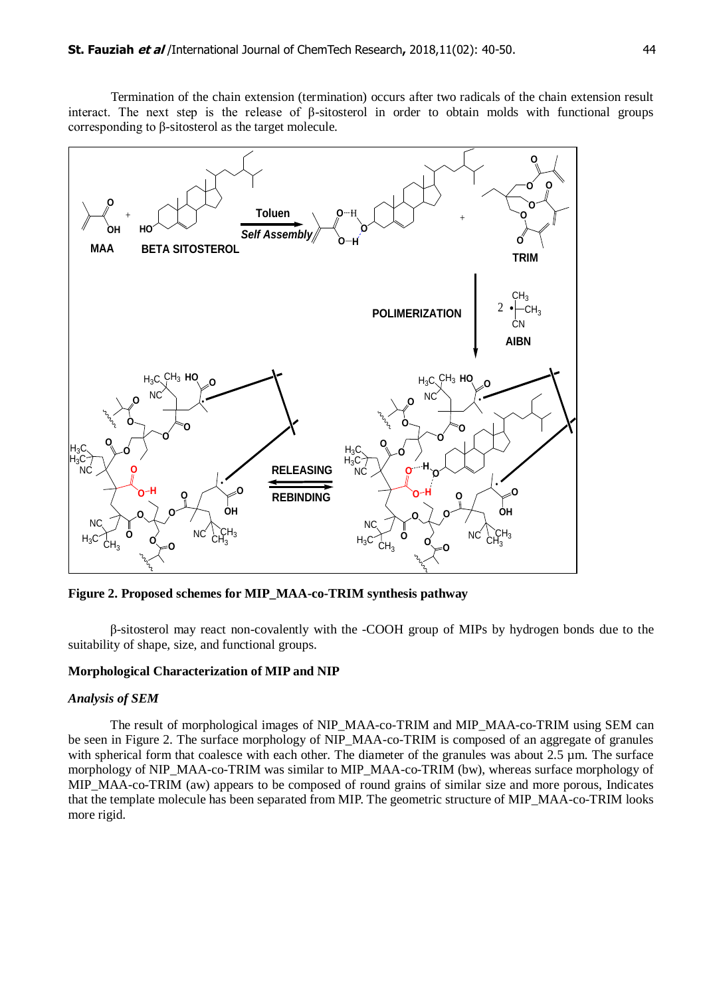Termination of the chain extension (termination) occurs after two radicals of the chain extension result interact. The next step is the release of β-sitosterol in order to obtain molds with functional groups corresponding to β-sitosterol as the target molecule.



**Figure 2. Proposed schemes for MIP\_MAA-co-TRIM synthesis pathway** 

β-sitosterol may react non-covalently with the -COOH group of MIPs by hydrogen bonds due to the suitability of shape, size, and functional groups.

## **Morphological Characterization of MIP and NIP**

## *Analysis of SEM*

The result of morphological images of NIP\_MAA-co-TRIM and MIP\_MAA-co-TRIM using SEM can be seen in Figure 2. The surface morphology of NIP\_MAA-co-TRIM is composed of an aggregate of granules with spherical form that coalesce with each other. The diameter of the granules was about 2.5 µm. The surface morphology of NIP\_MAA-co-TRIM was similar to MIP\_MAA-co-TRIM (bw), whereas surface morphology of MIP\_MAA-co-TRIM (aw) appears to be composed of round grains of similar size and more porous, Indicates that the template molecule has been separated from MIP. The geometric structure of MIP\_MAA-co-TRIM looks more rigid.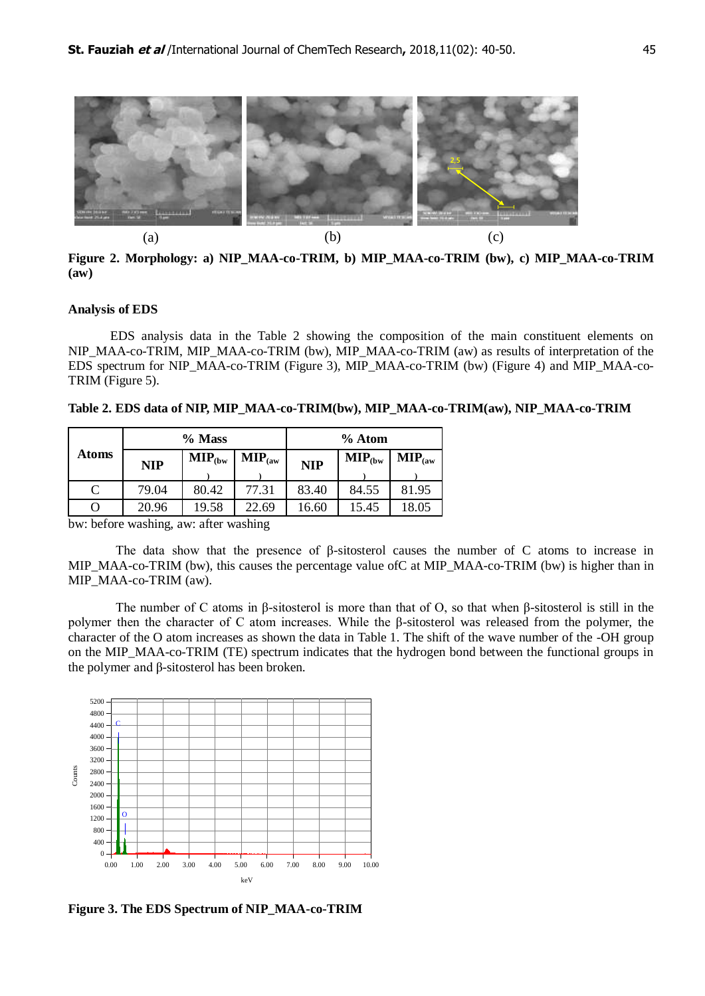

Figure 2. Morphology: a) NIP\_MAA-co-TRIM, b) MIP\_MAA-co-TRIM (bw), c) MIP\_MAA-co-TRIM **(aw)** 

## **Analysis of EDS**

EDS analysis data in the Table 2 showing the composition of the main constituent elements on NIP\_MAA-co-TRIM, MIP\_MAA-co-TRIM (bw), MIP\_MAA-co-TRIM (aw) as results of interpretation of the EDS spectrum for NIP\_MAA-co-TRIM (Figure 3), MIP\_MAA-co-TRIM (bw) (Figure 4) and MIP\_MAA-co-TRIM (Figure 5).

**Table 2. EDS data of NIP, MIP\_MAA-co-TRIM(bw), MIP\_MAA-co-TRIM(aw), NIP\_MAA-co-TRIM**

|              | % Mass     |                             |                              | $%$ Atom   |                             |                              |
|--------------|------------|-----------------------------|------------------------------|------------|-----------------------------|------------------------------|
| <b>Atoms</b> | <b>NIP</b> | $\textbf{MIP}_{\text{cbw}}$ | $\textbf{MIP}_{\text{(aw)}}$ | <b>NIP</b> | $\textbf{MIP}_{\text{cbw}}$ | $\textbf{MIP}_{\text{(aw)}}$ |
| C            | 79.04      | 80.42                       | 77.31                        | 83.40      | 84.55                       | 81.95                        |
|              | 20.96      | 19.58                       | 22.69                        | 16.60      | 15.45                       | 18.05                        |

bw: before washing, aw: after washing

The data show that the presence of β-sitosterol causes the number of C atoms to increase in MIP\_MAA-co-TRIM (bw), this causes the percentage value ofC at MIP\_MAA-co-TRIM (bw) is higher than in MIP\_MAA-co-TRIM (aw).

The number of C atoms in β-sitosterol is more than that of O, so that when β-sitosterol is still in the polymer then the character of C atom increases. While the β-sitosterol was released from the polymer, the character of the O atom increases as shown the data in Table 1. The shift of the wave number of the -OH group on the MIP\_MAA-co-TRIM (TE) spectrum indicates that the hydrogen bond between the functional groups in the polymer and β-sitosterol has been broken.



**Figure 3. The EDS Spectrum of NIP\_MAA-co-TRIM**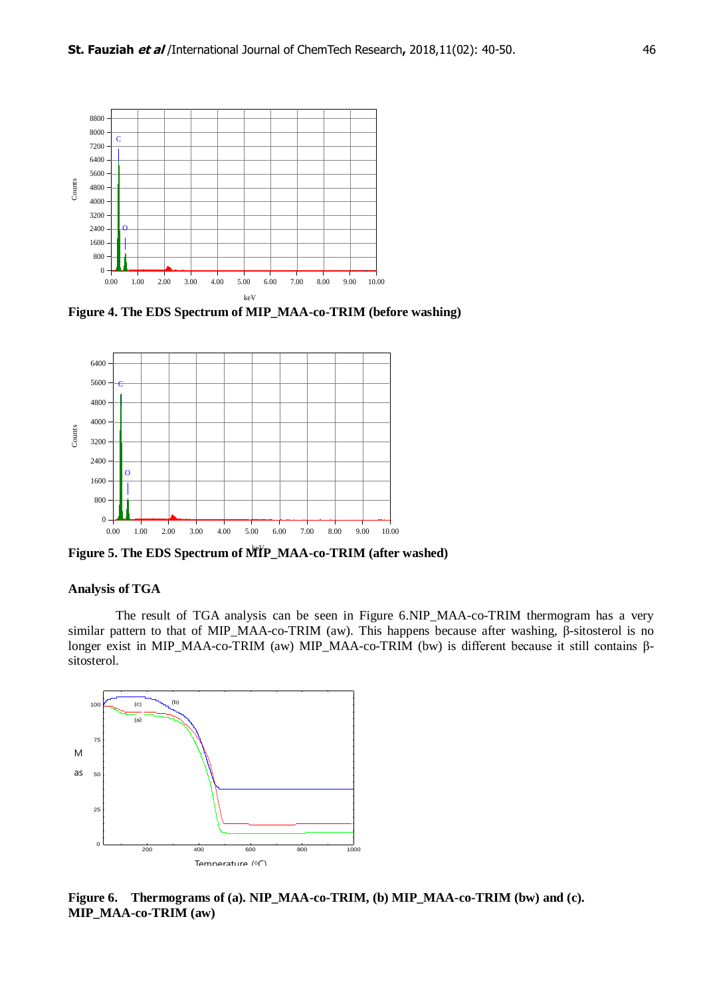

**Figure 4. The EDS Spectrum of MIP\_MAA-co-TRIM (before washing)**



Figure 5. The EDS Spectrum of MIP\_MAA-co-TRIM (after washed)

# **Analysis of TGA**

The result of TGA analysis can be seen in Figure 6.NIP\_MAA-co-TRIM thermogram has a very similar pattern to that of MIP\_MAA-co-TRIM (aw). This happens because after washing, β-sitosterol is no longer exist in MIP\_MAA-co-TRIM (aw) MIP\_MAA-co-TRIM (bw) is different because it still contains βsitosterol.



**Figure 6. Thermograms of (a). NIP\_MAA-co-TRIM, (b) MIP\_MAA-co-TRIM (bw) and (c). MIP\_MAA-co-TRIM (aw)**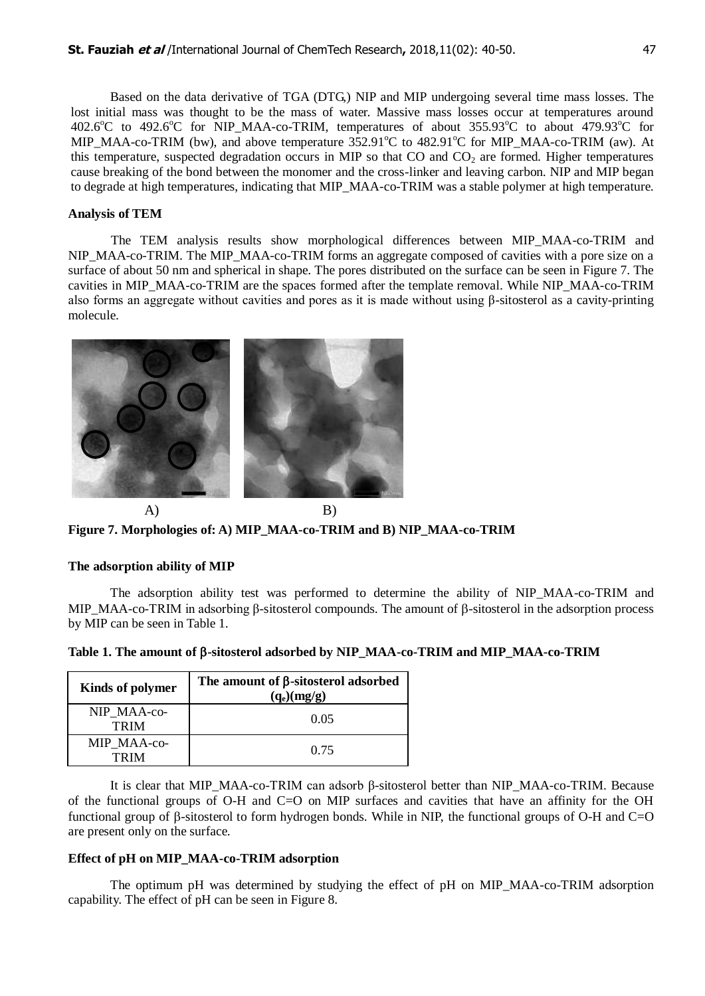Based on the data derivative of TGA (DTG,) NIP and MIP undergoing several time mass losses. The lost initial mass was thought to be the mass of water. Massive mass losses occur at temperatures around 402.6 $^{\circ}$ C to 492.6 $^{\circ}$ C for NIP MAA-co-TRIM, temperatures of about 355.93 $^{\circ}$ C to about 479.93 $^{\circ}$ C for MIP\_MAA-co-TRIM (bw), and above temperature  $352.91^{\circ}C$  to  $482.91^{\circ}C$  for MIP\_MAA-co-TRIM (aw). At this temperature, suspected degradation occurs in MIP so that  $CO$  and  $CO<sub>2</sub>$  are formed. Higher temperatures cause breaking of the bond between the monomer and the cross-linker and leaving carbon. NIP and MIP began to degrade at high temperatures, indicating that MIP\_MAA-co-TRIM was a stable polymer at high temperature.

## **Analysis of TEM**

The TEM analysis results show morphological differences between MIP\_MAA-co-TRIM and NIP\_MAA-co-TRIM. The MIP\_MAA-co-TRIM forms an aggregate composed of cavities with a pore size on a surface of about 50 nm and spherical in shape. The pores distributed on the surface can be seen in Figure 7. The cavities in MIP\_MAA-co-TRIM are the spaces formed after the template removal. While NIP\_MAA-co-TRIM also forms an aggregate without cavities and pores as it is made without using β-sitosterol as a cavity-printing molecule.



**Figure 7. Morphologies of: A) MIP\_MAA-co-TRIM and B) NIP\_MAA-co-TRIM**

# **The adsorption ability of MIP**

The adsorption ability test was performed to determine the ability of NIP MAA-co-TRIM and MIP\_MAA-co-TRIM in adsorbing β-sitosterol compounds. The amount of β-sitosterol in the adsorption process by MIP can be seen in Table 1.

| <b>Kinds of polymer</b>    | The amount of $\beta$ -sitosterol adsorbed<br>$(q_e)(mg/g)$ |  |
|----------------------------|-------------------------------------------------------------|--|
| NIP MAA-co-<br><b>TRIM</b> | 0.05                                                        |  |
| MIP MAA-co-<br>TR IM       | 0.75                                                        |  |

**Table 1. The amount of -sitosterol adsorbed by NIP\_MAA-co-TRIM and MIP\_MAA-co-TRIM**

It is clear that MIP\_MAA-co-TRIM can adsorb β-sitosterol better than NIP\_MAA-co-TRIM. Because of the functional groups of O-H and C=O on MIP surfaces and cavities that have an affinity for the OH functional group of  $\beta$ -sitosterol to form hydrogen bonds. While in NIP, the functional groups of O-H and C=O are present only on the surface.

#### **Effect of pH on MIP\_MAA-co-TRIM adsorption**

The optimum pH was determined by studying the effect of pH on MIP\_MAA-co-TRIM adsorption capability. The effect of pH can be seen in Figure 8.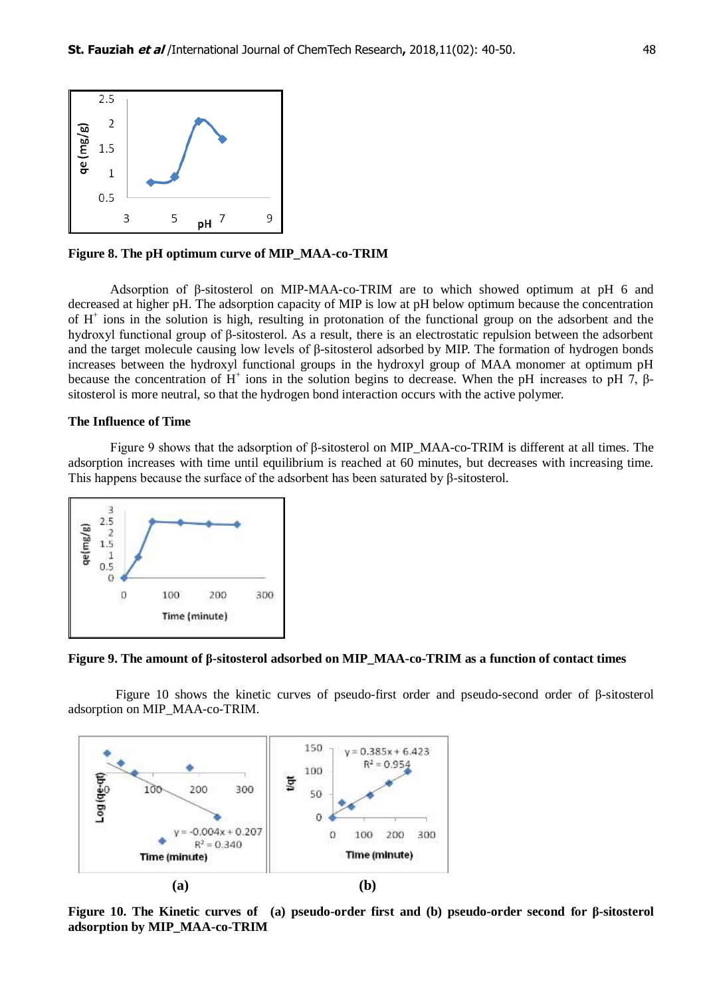

**Figure 8. The pH optimum curve of MIP\_MAA-co-TRIM**

Adsorption of β-sitosterol on MIP-MAA-co-TRIM are to which showed optimum at pH 6 and decreased at higher pH. The adsorption capacity of MIP is low at pH below optimum because the concentration of H<sup>+</sup> ions in the solution is high, resulting in protonation of the functional group on the adsorbent and the hydroxyl functional group of β-sitosterol. As a result, there is an electrostatic repulsion between the adsorbent and the target molecule causing low levels of β-sitosterol adsorbed by MIP. The formation of hydrogen bonds increases between the hydroxyl functional groups in the hydroxyl group of MAA monomer at optimum pH because the concentration of  $H^+$  ions in the solution begins to decrease. When the pH increases to pH 7,  $\beta$ sitosterol is more neutral, so that the hydrogen bond interaction occurs with the active polymer.

#### **The Influence of Time**

Figure 9 shows that the adsorption of β-sitosterol on MIP\_MAA-co-TRIM is different at all times. The adsorption increases with time until equilibrium is reached at 60 minutes, but decreases with increasing time. This happens because the surface of the adsorbent has been saturated by β-sitosterol.



**Figure 9. The amount of β-sitosterol adsorbed on MIP\_MAA-co-TRIM as a function of contact times**

Figure 10 shows the kinetic curves of pseudo-first order and pseudo-second order of β-sitosterol adsorption on MIP\_MAA-co-TRIM.



**Figure 10. The Kinetic curves of (a) pseudo-order first and (b) pseudo-order second for β-sitosterol adsorption by MIP\_MAA-co-TRIM**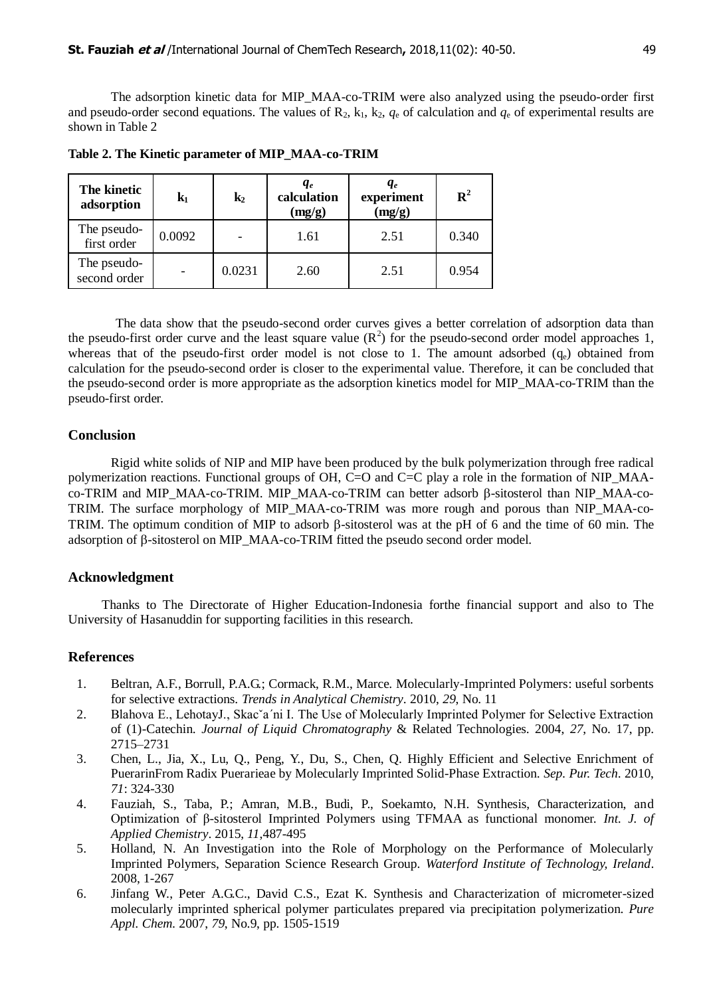The adsorption kinetic data for MIP\_MAA-co-TRIM were also analyzed using the pseudo-order first and pseudo-order second equations. The values of  $\mathbb{R}_2$ ,  $k_1$ ,  $k_2$ ,  $q_e$  of calculation and  $q_e$  of experimental results are shown in Table 2

| The kinetic<br>adsorption   | ${\bf k_1}$              | $k_2$  | $q_e$<br>calculation<br>(mg/g) | $q_e$<br>experiment<br>(mg/g) | $\mathbf{R}^2$ |
|-----------------------------|--------------------------|--------|--------------------------------|-------------------------------|----------------|
| The pseudo-<br>first order  | 0.0092                   |        | 1.61                           | 2.51                          | 0.340          |
| The pseudo-<br>second order | $\overline{\phantom{a}}$ | 0.0231 | 2.60                           | 2.51                          | 0.954          |

**Table 2. The Kinetic parameter of MIP\_MAA-co-TRIM**

The data show that the pseudo-second order curves gives a better correlation of adsorption data than the pseudo-first order curve and the least square value  $(R^2)$  for the pseudo-second order model approaches 1, whereas that of the pseudo-first order model is not close to 1. The amount adsorbed  $(q_e)$  obtained from calculation for the pseudo-second order is closer to the experimental value. Therefore, it can be concluded that the pseudo-second order is more appropriate as the adsorption kinetics model for MIP\_MAA-co-TRIM than the pseudo-first order.

## **Conclusion**

Rigid white solids of NIP and MIP have been produced by the bulk polymerization through free radical polymerization reactions. Functional groups of OH, C=O and C=C play a role in the formation of NIP\_MAAco-TRIM and MIP\_MAA-co-TRIM. MIP\_MAA-co-TRIM can better adsorb B-sitosterol than NIP\_MAA-co-TRIM. The surface morphology of MIP\_MAA-co-TRIM was more rough and porous than NIP\_MAA-co-TRIM. The optimum condition of MIP to adsorb  $\beta$ -sitosterol was at the pH of 6 and the time of 60 min. The adsorption of  $\beta$ -sitosterol on MIP\_MAA-co-TRIM fitted the pseudo second order model.

# **Acknowledgment**

Thanks to The Directorate of Higher Education-Indonesia forthe financial support and also to The University of Hasanuddin for supporting facilities in this research.

## **References**

- 1. Beltran, A.F., Borrull, P.A.G.; Cormack, R.M., Marce. Molecularly-Imprinted Polymers: useful sorbents for selective extractions. *Trends in Analytical Chemistry*. 2010, *29*, No. 11
- 2. Blahova E., LehotayJ., Skacˇa´ni I. The Use of Molecularly Imprinted Polymer for Selective Extraction of (1)-Catechin. *Journal of Liquid Chromatography* & Related Technologies. 2004, *27*, No. 17, pp. 2715–2731
- 3. Chen, L., Jia, X., Lu, Q., Peng, Y., Du, S., Chen, Q. Highly Efficient and Selective Enrichment of PuerarinFrom Radix Puerarieae by Molecularly Imprinted Solid-Phase Extraction. *Sep. Pur. Tech*. 2010, *71*: 324-330
- 4. Fauziah, S., Taba, P.; Amran, M.B., Budi, P., Soekamto, N.H. Synthesis, Characterization, and Optimization of β-sitosterol Imprinted Polymers using TFMAA as functional monomer. *Int. J. of Applied Chemistry*. 2015, *11*,487-495
- 5. Holland, N. An Investigation into the Role of Morphology on the Performance of Molecularly Imprinted Polymers, Separation Science Research Group. *Waterford Institute of Technology, Ireland*. 2008, 1-267
- 6. Jinfang W., Peter A.G.C., David C.S., Ezat K. Synthesis and Characterization of micrometer-sized molecularly imprinted spherical polymer particulates prepared via precipitation polymerization. *Pure Appl. Chem.* 2007, *79*, No.9, pp. 1505-1519